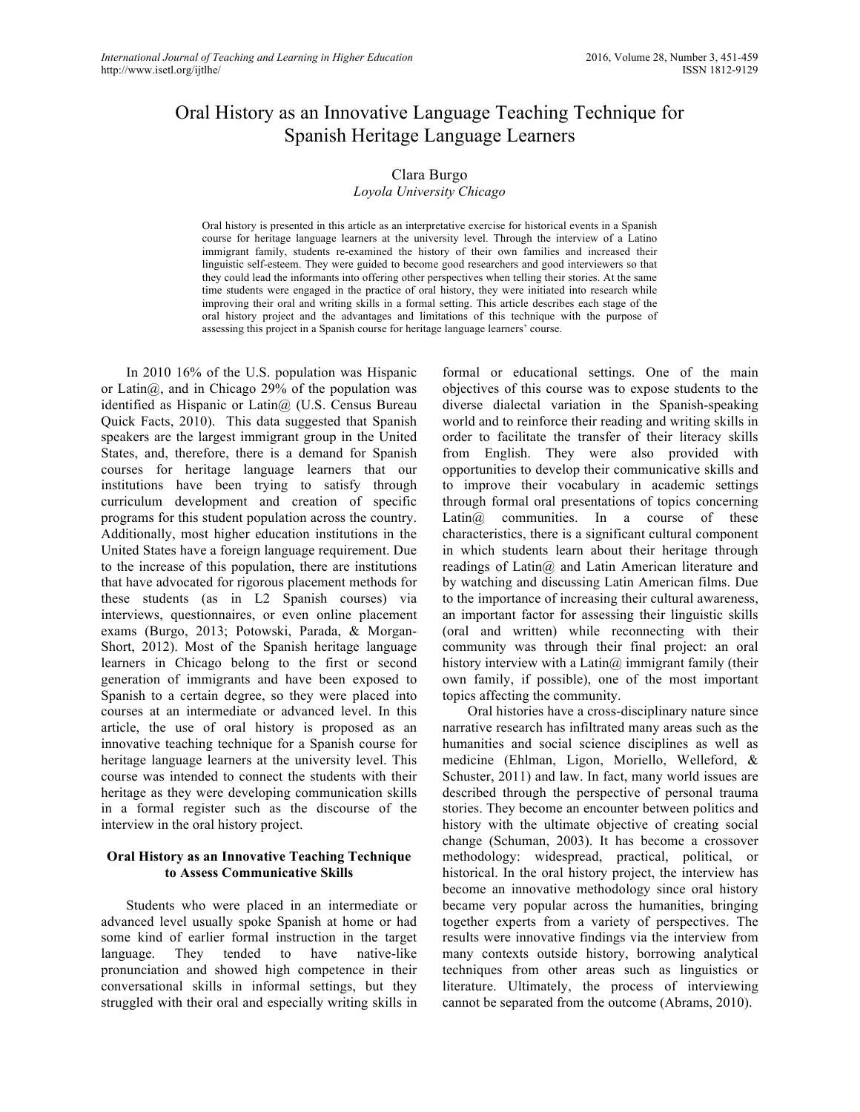# Oral History as an Innovative Language Teaching Technique for Spanish Heritage Language Learners

# Clara Burgo

## *Loyola University Chicago*

Oral history is presented in this article as an interpretative exercise for historical events in a Spanish course for heritage language learners at the university level. Through the interview of a Latino immigrant family, students re-examined the history of their own families and increased their linguistic self-esteem. They were guided to become good researchers and good interviewers so that they could lead the informants into offering other perspectives when telling their stories. At the same time students were engaged in the practice of oral history, they were initiated into research while improving their oral and writing skills in a formal setting. This article describes each stage of the oral history project and the advantages and limitations of this technique with the purpose of assessing this project in a Spanish course for heritage language learners' course.

In 2010 16% of the U.S. population was Hispanic or Latin $\omega$ , and in Chicago 29% of the population was identified as Hispanic or Latin $\omega$  (U.S. Census Bureau Quick Facts, 2010). This data suggested that Spanish speakers are the largest immigrant group in the United States, and, therefore, there is a demand for Spanish courses for heritage language learners that our institutions have been trying to satisfy through curriculum development and creation of specific programs for this student population across the country. Additionally, most higher education institutions in the United States have a foreign language requirement. Due to the increase of this population, there are institutions that have advocated for rigorous placement methods for these students (as in L2 Spanish courses) via interviews, questionnaires, or even online placement exams (Burgo, 2013; Potowski, Parada, & Morgan-Short, 2012). Most of the Spanish heritage language learners in Chicago belong to the first or second generation of immigrants and have been exposed to Spanish to a certain degree, so they were placed into courses at an intermediate or advanced level. In this article, the use of oral history is proposed as an innovative teaching technique for a Spanish course for heritage language learners at the university level. This course was intended to connect the students with their heritage as they were developing communication skills in a formal register such as the discourse of the interview in the oral history project.

## **Oral History as an Innovative Teaching Technique to Assess Communicative Skills**

Students who were placed in an intermediate or advanced level usually spoke Spanish at home or had some kind of earlier formal instruction in the target language. They tended to have native-like pronunciation and showed high competence in their conversational skills in informal settings, but they struggled with their oral and especially writing skills in formal or educational settings. One of the main objectives of this course was to expose students to the diverse dialectal variation in the Spanish-speaking world and to reinforce their reading and writing skills in order to facilitate the transfer of their literacy skills from English. They were also provided with opportunities to develop their communicative skills and to improve their vocabulary in academic settings through formal oral presentations of topics concerning Latin@ communities. In a course of these characteristics, there is a significant cultural component in which students learn about their heritage through readings of Latin@ and Latin American literature and by watching and discussing Latin American films. Due to the importance of increasing their cultural awareness, an important factor for assessing their linguistic skills (oral and written) while reconnecting with their community was through their final project: an oral history interview with a Latin@ immigrant family (their own family, if possible), one of the most important topics affecting the community.

Oral histories have a cross-disciplinary nature since narrative research has infiltrated many areas such as the humanities and social science disciplines as well as medicine (Ehlman, Ligon, Moriello, Welleford, & Schuster, 2011) and law. In fact, many world issues are described through the perspective of personal trauma stories. They become an encounter between politics and history with the ultimate objective of creating social change (Schuman, 2003). It has become a crossover methodology: widespread, practical, political, or historical. In the oral history project, the interview has become an innovative methodology since oral history became very popular across the humanities, bringing together experts from a variety of perspectives. The results were innovative findings via the interview from many contexts outside history, borrowing analytical techniques from other areas such as linguistics or literature. Ultimately, the process of interviewing cannot be separated from the outcome (Abrams, 2010).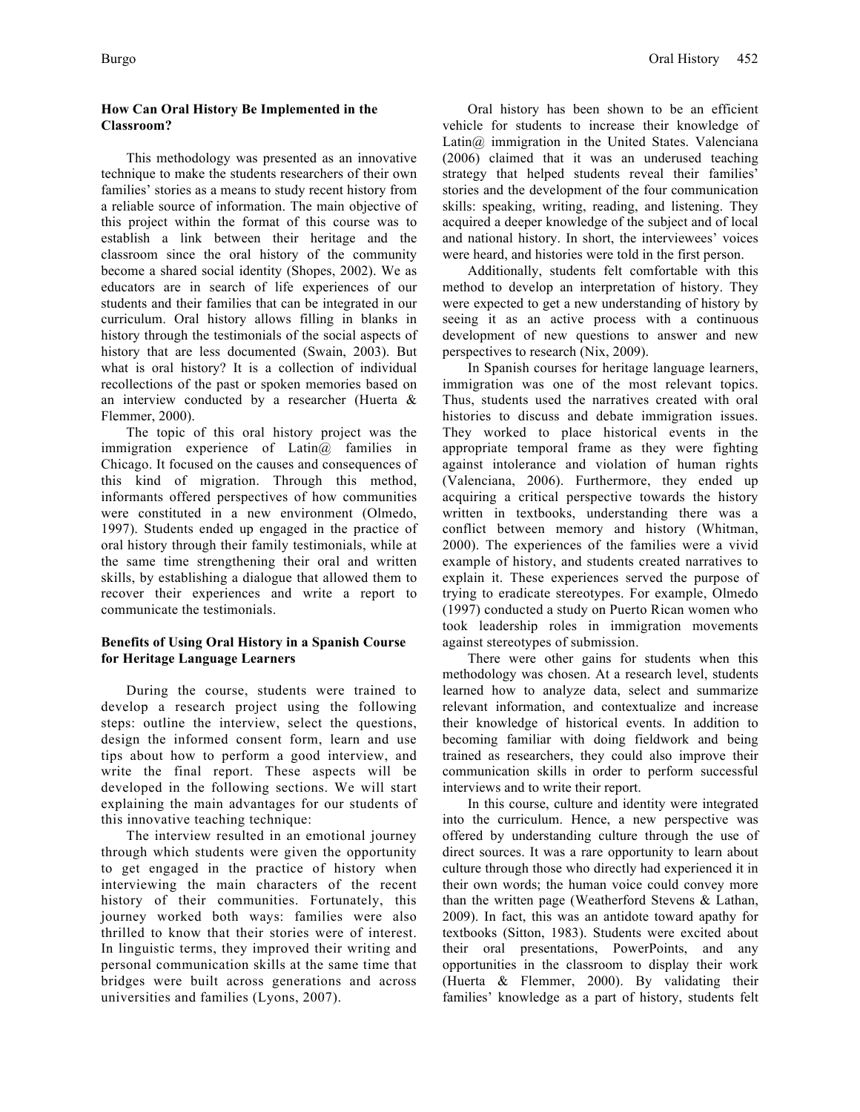# **How Can Oral History Be Implemented in the Classroom?**

This methodology was presented as an innovative technique to make the students researchers of their own families' stories as a means to study recent history from a reliable source of information. The main objective of this project within the format of this course was to establish a link between their heritage and the classroom since the oral history of the community become a shared social identity (Shopes, 2002). We as educators are in search of life experiences of our students and their families that can be integrated in our curriculum. Oral history allows filling in blanks in history through the testimonials of the social aspects of history that are less documented (Swain, 2003). But what is oral history? It is a collection of individual recollections of the past or spoken memories based on an interview conducted by a researcher (Huerta & Flemmer, 2000).

The topic of this oral history project was the immigration experience of Latin@ families in Chicago. It focused on the causes and consequences of this kind of migration. Through this method, informants offered perspectives of how communities were constituted in a new environment (Olmedo, 1997). Students ended up engaged in the practice of oral history through their family testimonials, while at the same time strengthening their oral and written skills, by establishing a dialogue that allowed them to recover their experiences and write a report to communicate the testimonials.

## **Benefits of Using Oral History in a Spanish Course for Heritage Language Learners**

During the course, students were trained to develop a research project using the following steps: outline the interview, select the questions, design the informed consent form, learn and use tips about how to perform a good interview, and write the final report. These aspects will be developed in the following sections. We will start explaining the main advantages for our students of this innovative teaching technique:

The interview resulted in an emotional journey through which students were given the opportunity to get engaged in the practice of history when interviewing the main characters of the recent history of their communities. Fortunately, this journey worked both ways: families were also thrilled to know that their stories were of interest. In linguistic terms, they improved their writing and personal communication skills at the same time that bridges were built across generations and across universities and families (Lyons, 2007).

Oral history has been shown to be an efficient vehicle for students to increase their knowledge of Latin@ immigration in the United States. Valenciana (2006) claimed that it was an underused teaching strategy that helped students reveal their families' stories and the development of the four communication skills: speaking, writing, reading, and listening. They acquired a deeper knowledge of the subject and of local and national history. In short, the interviewees' voices were heard, and histories were told in the first person.

Additionally, students felt comfortable with this method to develop an interpretation of history. They were expected to get a new understanding of history by seeing it as an active process with a continuous development of new questions to answer and new perspectives to research (Nix, 2009).

In Spanish courses for heritage language learners, immigration was one of the most relevant topics. Thus, students used the narratives created with oral histories to discuss and debate immigration issues. They worked to place historical events in the appropriate temporal frame as they were fighting against intolerance and violation of human rights (Valenciana, 2006). Furthermore, they ended up acquiring a critical perspective towards the history written in textbooks, understanding there was a conflict between memory and history (Whitman, 2000). The experiences of the families were a vivid example of history, and students created narratives to explain it. These experiences served the purpose of trying to eradicate stereotypes. For example, Olmedo (1997) conducted a study on Puerto Rican women who took leadership roles in immigration movements against stereotypes of submission.

There were other gains for students when this methodology was chosen. At a research level, students learned how to analyze data, select and summarize relevant information, and contextualize and increase their knowledge of historical events. In addition to becoming familiar with doing fieldwork and being trained as researchers, they could also improve their communication skills in order to perform successful interviews and to write their report.

In this course, culture and identity were integrated into the curriculum. Hence, a new perspective was offered by understanding culture through the use of direct sources. It was a rare opportunity to learn about culture through those who directly had experienced it in their own words; the human voice could convey more than the written page (Weatherford Stevens & Lathan, 2009). In fact, this was an antidote toward apathy for textbooks (Sitton, 1983). Students were excited about their oral presentations, PowerPoints, and any opportunities in the classroom to display their work (Huerta & Flemmer, 2000). By validating their families' knowledge as a part of history, students felt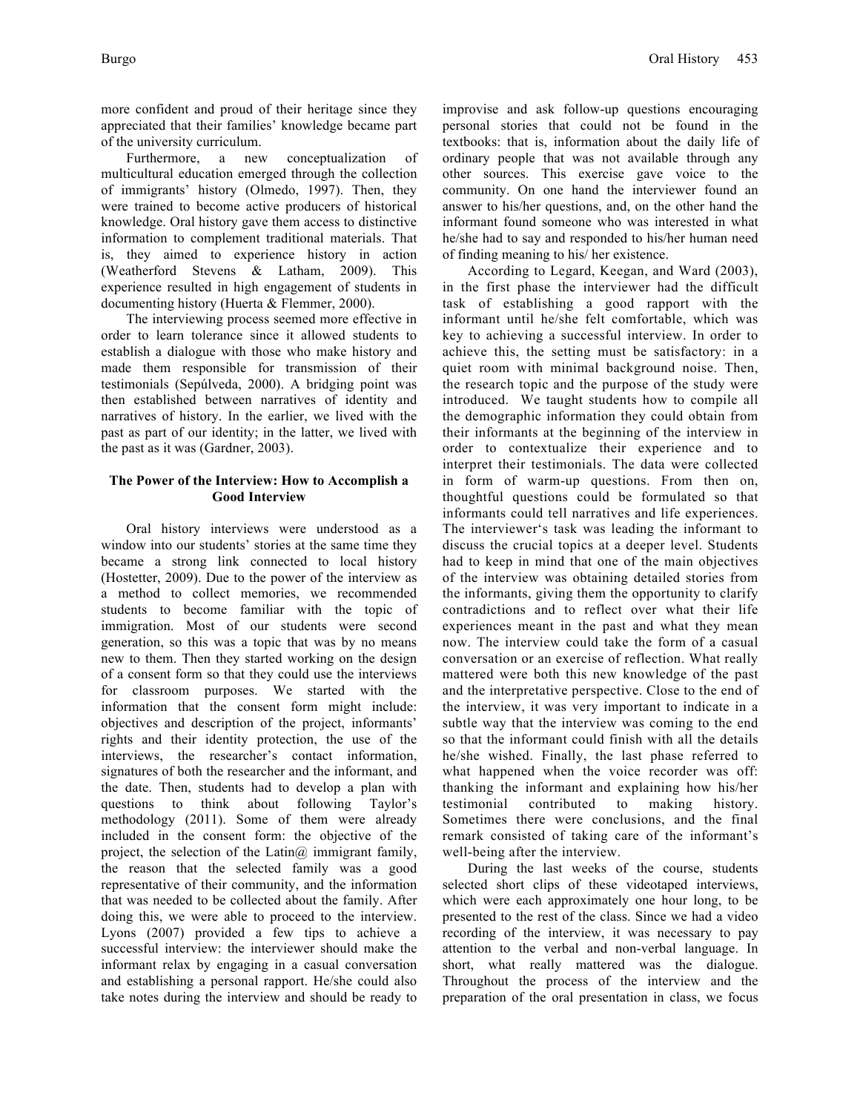more confident and proud of their heritage since they appreciated that their families' knowledge became part of the university curriculum.

Furthermore, a new conceptualization of multicultural education emerged through the collection of immigrants' history (Olmedo, 1997). Then, they were trained to become active producers of historical knowledge. Oral history gave them access to distinctive information to complement traditional materials. That is, they aimed to experience history in action (Weatherford Stevens & Latham, 2009). This experience resulted in high engagement of students in documenting history (Huerta & Flemmer, 2000).

The interviewing process seemed more effective in order to learn tolerance since it allowed students to establish a dialogue with those who make history and made them responsible for transmission of their testimonials (Sepúlveda, 2000). A bridging point was then established between narratives of identity and narratives of history. In the earlier, we lived with the past as part of our identity; in the latter, we lived with the past as it was (Gardner, 2003).

## **The Power of the Interview: How to Accomplish a Good Interview**

Oral history interviews were understood as a window into our students' stories at the same time they became a strong link connected to local history (Hostetter, 2009). Due to the power of the interview as a method to collect memories, we recommended students to become familiar with the topic of immigration. Most of our students were second generation, so this was a topic that was by no means new to them. Then they started working on the design of a consent form so that they could use the interviews for classroom purposes. We started with the information that the consent form might include: objectives and description of the project, informants' rights and their identity protection, the use of the interviews, the researcher's contact information, signatures of both the researcher and the informant, and the date. Then, students had to develop a plan with questions to think about following Taylor's methodology (2011). Some of them were already included in the consent form: the objective of the project, the selection of the Latin $\omega$  immigrant family, the reason that the selected family was a good representative of their community, and the information that was needed to be collected about the family. After doing this, we were able to proceed to the interview. Lyons (2007) provided a few tips to achieve a successful interview: the interviewer should make the informant relax by engaging in a casual conversation and establishing a personal rapport. He/she could also take notes during the interview and should be ready to improvise and ask follow-up questions encouraging personal stories that could not be found in the textbooks: that is, information about the daily life of ordinary people that was not available through any other sources. This exercise gave voice to the community. On one hand the interviewer found an answer to his/her questions, and, on the other hand the informant found someone who was interested in what he/she had to say and responded to his/her human need of finding meaning to his/ her existence.

According to Legard, Keegan, and Ward (2003), in the first phase the interviewer had the difficult task of establishing a good rapport with the informant until he/she felt comfortable, which was key to achieving a successful interview. In order to achieve this, the setting must be satisfactory: in a quiet room with minimal background noise. Then, the research topic and the purpose of the study were introduced. We taught students how to compile all the demographic information they could obtain from their informants at the beginning of the interview in order to contextualize their experience and to interpret their testimonials. The data were collected in form of warm-up questions. From then on, thoughtful questions could be formulated so that informants could tell narratives and life experiences. The interviewer's task was leading the informant to discuss the crucial topics at a deeper level. Students had to keep in mind that one of the main objectives of the interview was obtaining detailed stories from the informants, giving them the opportunity to clarify contradictions and to reflect over what their life experiences meant in the past and what they mean now. The interview could take the form of a casual conversation or an exercise of reflection. What really mattered were both this new knowledge of the past and the interpretative perspective. Close to the end of the interview, it was very important to indicate in a subtle way that the interview was coming to the end so that the informant could finish with all the details he/she wished. Finally, the last phase referred to what happened when the voice recorder was off: thanking the informant and explaining how his/her testimonial contributed to making history. Sometimes there were conclusions, and the final remark consisted of taking care of the informant's well-being after the interview.

During the last weeks of the course, students selected short clips of these videotaped interviews, which were each approximately one hour long, to be presented to the rest of the class. Since we had a video recording of the interview, it was necessary to pay attention to the verbal and non-verbal language. In short, what really mattered was the dialogue. Throughout the process of the interview and the preparation of the oral presentation in class, we focus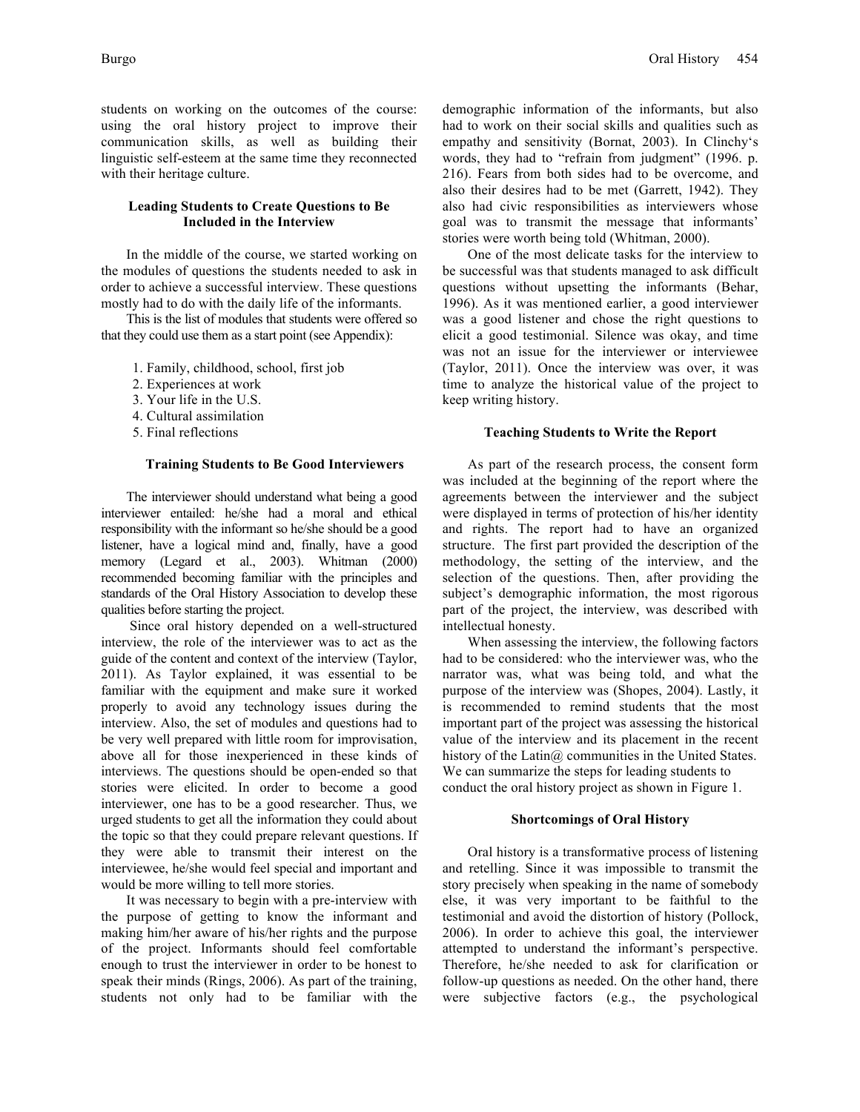students on working on the outcomes of the course: using the oral history project to improve their communication skills, as well as building their linguistic self-esteem at the same time they reconnected with their heritage culture.

## **Leading Students to Create Questions to Be Included in the Interview**

In the middle of the course, we started working on the modules of questions the students needed to ask in order to achieve a successful interview. These questions mostly had to do with the daily life of the informants.

This is the list of modules that students were offered so that they could use them as a start point (see Appendix):

- 1. Family, childhood, school, first job
- 2. Experiences at work
- 3. Your life in the U.S.
- 4. Cultural assimilation
- 5. Final reflections

#### **Training Students to Be Good Interviewers**

The interviewer should understand what being a good interviewer entailed: he/she had a moral and ethical responsibility with the informant so he/she should be a good listener, have a logical mind and, finally, have a good memory (Legard et al., 2003). Whitman (2000) recommended becoming familiar with the principles and standards of the Oral History Association to develop these qualities before starting the project.

Since oral history depended on a well-structured interview, the role of the interviewer was to act as the guide of the content and context of the interview (Taylor, 2011). As Taylor explained, it was essential to be familiar with the equipment and make sure it worked properly to avoid any technology issues during the interview. Also, the set of modules and questions had to be very well prepared with little room for improvisation, above all for those inexperienced in these kinds of interviews. The questions should be open-ended so that stories were elicited. In order to become a good interviewer, one has to be a good researcher. Thus, we urged students to get all the information they could about the topic so that they could prepare relevant questions. If they were able to transmit their interest on the interviewee, he/she would feel special and important and would be more willing to tell more stories.

It was necessary to begin with a pre-interview with the purpose of getting to know the informant and making him/her aware of his/her rights and the purpose of the project. Informants should feel comfortable enough to trust the interviewer in order to be honest to speak their minds (Rings, 2006). As part of the training, students not only had to be familiar with the

demographic information of the informants, but also had to work on their social skills and qualities such as empathy and sensitivity (Bornat, 2003). In Clinchy's words, they had to "refrain from judgment" (1996. p. 216). Fears from both sides had to be overcome, and also their desires had to be met (Garrett, 1942). They also had civic responsibilities as interviewers whose goal was to transmit the message that informants' stories were worth being told (Whitman, 2000).

One of the most delicate tasks for the interview to be successful was that students managed to ask difficult questions without upsetting the informants (Behar, 1996). As it was mentioned earlier, a good interviewer was a good listener and chose the right questions to elicit a good testimonial. Silence was okay, and time was not an issue for the interviewer or interviewee (Taylor, 2011). Once the interview was over, it was time to analyze the historical value of the project to keep writing history.

#### **Teaching Students to Write the Report**

As part of the research process, the consent form was included at the beginning of the report where the agreements between the interviewer and the subject were displayed in terms of protection of his/her identity and rights. The report had to have an organized structure. The first part provided the description of the methodology, the setting of the interview, and the selection of the questions. Then, after providing the subject's demographic information, the most rigorous part of the project, the interview, was described with intellectual honesty.

When assessing the interview, the following factors had to be considered: who the interviewer was, who the narrator was, what was being told, and what the purpose of the interview was (Shopes, 2004). Lastly, it is recommended to remind students that the most important part of the project was assessing the historical value of the interview and its placement in the recent history of the Latin@ communities in the United States. We can summarize the steps for leading students to conduct the oral history project as shown in Figure 1.

## **Shortcomings of Oral History**

Oral history is a transformative process of listening and retelling. Since it was impossible to transmit the story precisely when speaking in the name of somebody else, it was very important to be faithful to the testimonial and avoid the distortion of history (Pollock, 2006). In order to achieve this goal, the interviewer attempted to understand the informant's perspective. Therefore, he/she needed to ask for clarification or follow-up questions as needed. On the other hand, there were subjective factors (e.g., the psychological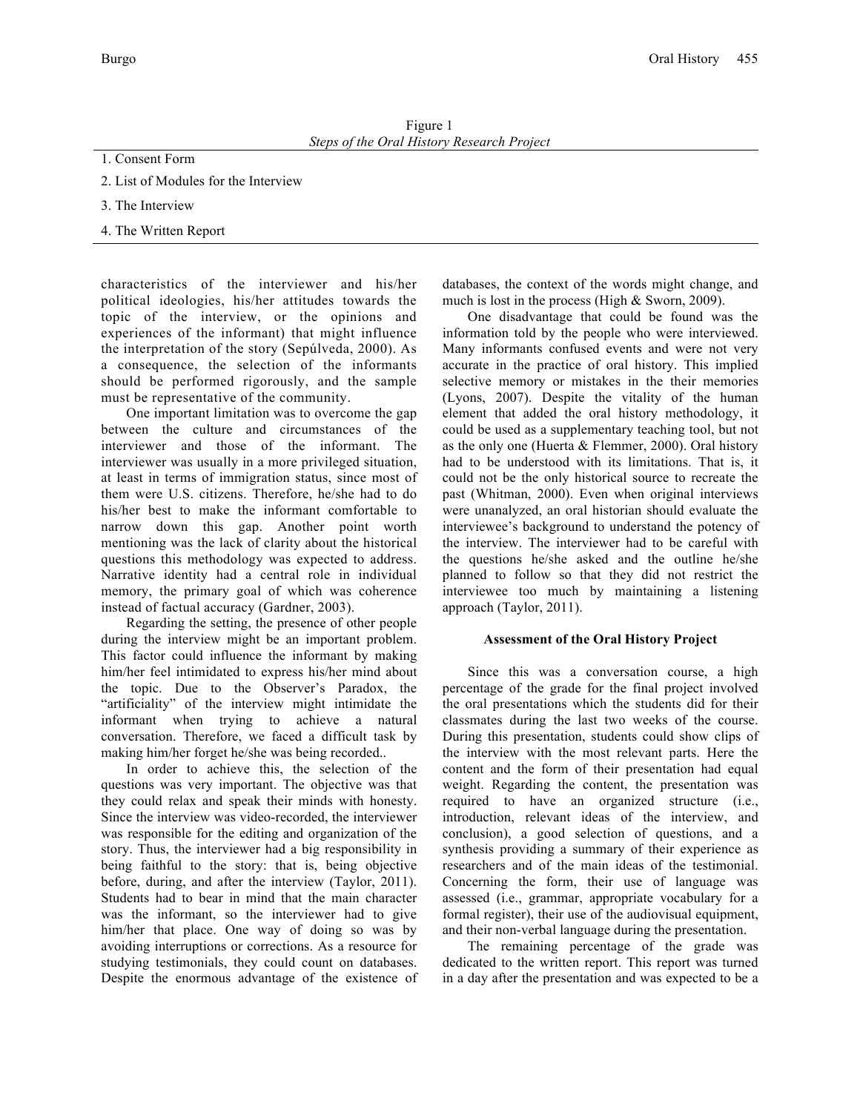Figure 1 *Steps of the Oral History Research Project*

- 1. Consent Form
- 2. List of Modules for the Interview
- 3. The Interview
- 4. The Written Report

characteristics of the interviewer and his/her political ideologies, his/her attitudes towards the topic of the interview, or the opinions and experiences of the informant) that might influence the interpretation of the story (Sepúlveda, 2000). As a consequence, the selection of the informants should be performed rigorously, and the sample must be representative of the community.

One important limitation was to overcome the gap between the culture and circumstances of the interviewer and those of the informant. The interviewer was usually in a more privileged situation, at least in terms of immigration status, since most of them were U.S. citizens. Therefore, he/she had to do his/her best to make the informant comfortable to narrow down this gap. Another point worth mentioning was the lack of clarity about the historical questions this methodology was expected to address. Narrative identity had a central role in individual memory, the primary goal of which was coherence instead of factual accuracy (Gardner, 2003).

Regarding the setting, the presence of other people during the interview might be an important problem. This factor could influence the informant by making him/her feel intimidated to express his/her mind about the topic. Due to the Observer's Paradox, the "artificiality" of the interview might intimidate the informant when trying to achieve a natural conversation. Therefore, we faced a difficult task by making him/her forget he/she was being recorded..

In order to achieve this, the selection of the questions was very important. The objective was that they could relax and speak their minds with honesty. Since the interview was video-recorded, the interviewer was responsible for the editing and organization of the story. Thus, the interviewer had a big responsibility in being faithful to the story: that is, being objective before, during, and after the interview (Taylor, 2011). Students had to bear in mind that the main character was the informant, so the interviewer had to give him/her that place. One way of doing so was by avoiding interruptions or corrections. As a resource for studying testimonials, they could count on databases. Despite the enormous advantage of the existence of databases, the context of the words might change, and much is lost in the process (High & Sworn, 2009).

One disadvantage that could be found was the information told by the people who were interviewed. Many informants confused events and were not very accurate in the practice of oral history. This implied selective memory or mistakes in the their memories (Lyons, 2007). Despite the vitality of the human element that added the oral history methodology, it could be used as a supplementary teaching tool, but not as the only one (Huerta & Flemmer, 2000). Oral history had to be understood with its limitations. That is, it could not be the only historical source to recreate the past (Whitman, 2000). Even when original interviews were unanalyzed, an oral historian should evaluate the interviewee's background to understand the potency of the interview. The interviewer had to be careful with the questions he/she asked and the outline he/she planned to follow so that they did not restrict the interviewee too much by maintaining a listening approach (Taylor, 2011).

## **Assessment of the Oral History Project**

Since this was a conversation course, a high percentage of the grade for the final project involved the oral presentations which the students did for their classmates during the last two weeks of the course. During this presentation, students could show clips of the interview with the most relevant parts. Here the content and the form of their presentation had equal weight. Regarding the content, the presentation was required to have an organized structure (i.e., introduction, relevant ideas of the interview, and conclusion), a good selection of questions, and a synthesis providing a summary of their experience as researchers and of the main ideas of the testimonial. Concerning the form, their use of language was assessed (i.e., grammar, appropriate vocabulary for a formal register), their use of the audiovisual equipment, and their non-verbal language during the presentation.

The remaining percentage of the grade was dedicated to the written report. This report was turned in a day after the presentation and was expected to be a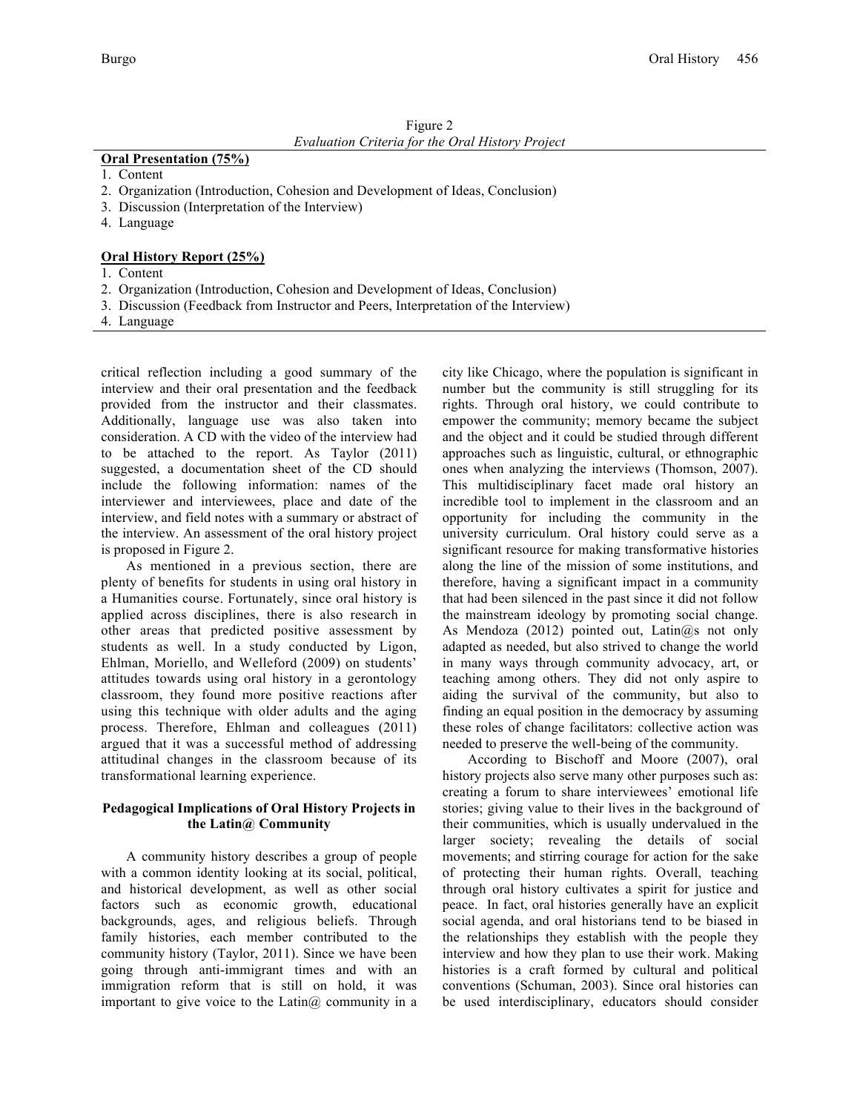| Figure 2 |                                                  |
|----------|--------------------------------------------------|
|          | Evaluation Criteria for the Oral History Project |

# **Oral Presentation (75%)**

- 1. Content
- 2. Organization (Introduction, Cohesion and Development of Ideas, Conclusion)
- 3. Discussion (Interpretation of the Interview)
- 4. Language

# **Oral History Report (25%)**

- 1. Content
- 2. Organization (Introduction, Cohesion and Development of Ideas, Conclusion)
- 3. Discussion (Feedback from Instructor and Peers, Interpretation of the Interview)
- 4. Language

critical reflection including a good summary of the interview and their oral presentation and the feedback provided from the instructor and their classmates. Additionally, language use was also taken into consideration. A CD with the video of the interview had to be attached to the report. As Taylor (2011) suggested, a documentation sheet of the CD should include the following information: names of the interviewer and interviewees, place and date of the interview, and field notes with a summary or abstract of the interview. An assessment of the oral history project is proposed in Figure 2.

As mentioned in a previous section, there are plenty of benefits for students in using oral history in a Humanities course. Fortunately, since oral history is applied across disciplines, there is also research in other areas that predicted positive assessment by students as well. In a study conducted by Ligon, Ehlman, Moriello, and Welleford (2009) on students' attitudes towards using oral history in a gerontology classroom, they found more positive reactions after using this technique with older adults and the aging process. Therefore, Ehlman and colleagues (2011) argued that it was a successful method of addressing attitudinal changes in the classroom because of its transformational learning experience.

## **Pedagogical Implications of Oral History Projects in the Latin@ Community**

A community history describes a group of people with a common identity looking at its social, political, and historical development, as well as other social factors such as economic growth, educational backgrounds, ages, and religious beliefs. Through family histories, each member contributed to the community history (Taylor, 2011). Since we have been going through anti-immigrant times and with an immigration reform that is still on hold, it was important to give voice to the Latin $\omega$  community in a city like Chicago, where the population is significant in number but the community is still struggling for its rights. Through oral history, we could contribute to empower the community; memory became the subject and the object and it could be studied through different approaches such as linguistic, cultural, or ethnographic ones when analyzing the interviews (Thomson, 2007). This multidisciplinary facet made oral history an incredible tool to implement in the classroom and an opportunity for including the community in the university curriculum. Oral history could serve as a significant resource for making transformative histories along the line of the mission of some institutions, and therefore, having a significant impact in a community that had been silenced in the past since it did not follow the mainstream ideology by promoting social change. As Mendoza (2012) pointed out,  $Latin@s$  not only adapted as needed, but also strived to change the world in many ways through community advocacy, art, or teaching among others. They did not only aspire to aiding the survival of the community, but also to finding an equal position in the democracy by assuming these roles of change facilitators: collective action was needed to preserve the well-being of the community.

According to Bischoff and Moore (2007), oral history projects also serve many other purposes such as: creating a forum to share interviewees' emotional life stories; giving value to their lives in the background of their communities, which is usually undervalued in the larger society; revealing the details of social movements; and stirring courage for action for the sake of protecting their human rights. Overall, teaching through oral history cultivates a spirit for justice and peace. In fact, oral histories generally have an explicit social agenda, and oral historians tend to be biased in the relationships they establish with the people they interview and how they plan to use their work. Making histories is a craft formed by cultural and political conventions (Schuman, 2003). Since oral histories can be used interdisciplinary, educators should consider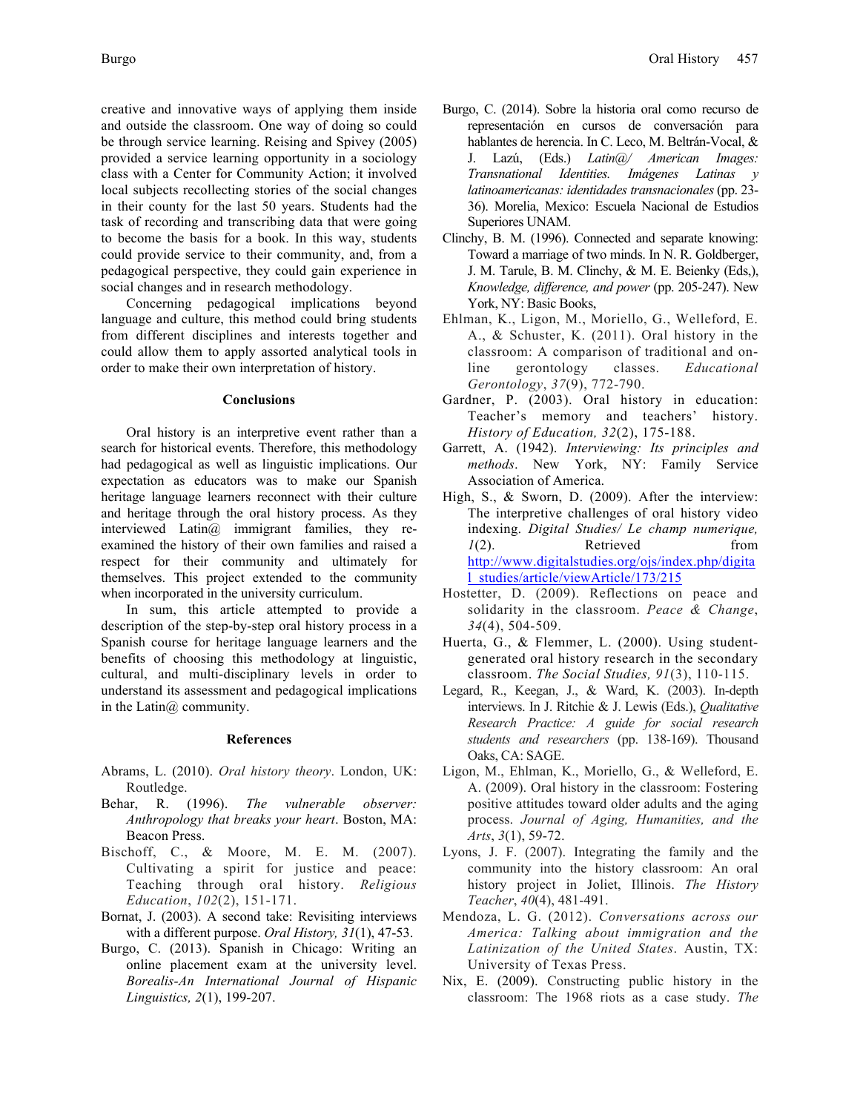creative and innovative ways of applying them inside and outside the classroom. One way of doing so could be through service learning. Reising and Spivey (2005) provided a service learning opportunity in a sociology class with a Center for Community Action; it involved local subjects recollecting stories of the social changes in their county for the last 50 years. Students had the task of recording and transcribing data that were going to become the basis for a book. In this way, students could provide service to their community, and, from a pedagogical perspective, they could gain experience in social changes and in research methodology.

Concerning pedagogical implications beyond language and culture, this method could bring students from different disciplines and interests together and could allow them to apply assorted analytical tools in order to make their own interpretation of history.

#### **Conclusions**

Oral history is an interpretive event rather than a search for historical events. Therefore, this methodology had pedagogical as well as linguistic implications. Our expectation as educators was to make our Spanish heritage language learners reconnect with their culture and heritage through the oral history process. As they interviewed Latin@ immigrant families, they reexamined the history of their own families and raised a respect for their community and ultimately for themselves. This project extended to the community when incorporated in the university curriculum.

In sum, this article attempted to provide a description of the step-by-step oral history process in a Spanish course for heritage language learners and the benefits of choosing this methodology at linguistic, cultural, and multi-disciplinary levels in order to understand its assessment and pedagogical implications in the Latin $\omega$  community.

#### **References**

- Abrams, L. (2010). *Oral history theory*. London, UK: Routledge.
- Behar, R. (1996). *The vulnerable observer: Anthropology that breaks your heart*. Boston, MA: Beacon Press.
- Bischoff, C., & Moore, M. E. M. (2007). Cultivating a spirit for justice and peace: Teaching through oral history. *Religious Education*, *102*(2), 151-171.
- Bornat, J. (2003). A second take: Revisiting interviews with a different purpose. *Oral History, 31*(1), 47-53.
- Burgo, C. (2013). Spanish in Chicago: Writing an online placement exam at the university level. *Borealis-An International Journal of Hispanic Linguistics, 2*(1), 199-207.
- hablantes de herencia. In C. Leco, M. Beltrán-Vocal, & J. Lazú, (Eds.) *Latin@/ American Images: Transnational Identities. Imágenes Latinas y latinoamericanas: identidades transnacionales* (pp. 23- 36). Morelia, Mexico: Escuela Nacional de Estudios Superiores UNAM.
- Clinchy, B. M. (1996). Connected and separate knowing: Toward a marriage of two minds. In N. R. Goldberger, J. M. Tarule, B. M. Clinchy, & M. E. Beienky (Eds,), *Knowledge, difference, and power* (pp. 205-247). New York, NY: Basic Books,
- Ehlman, K., Ligon, M., Moriello, G., Welleford, E. A., & Schuster, K. (2011). Oral history in the classroom: A comparison of traditional and online gerontology classes. *Educational Gerontology*, *37*(9), 772-790.
- Gardner, P. (2003). Oral history in education: Teacher's memory and teachers' history. *History of Education, 32*(2), 175-188.
- Garrett, A. (1942). *Interviewing: Its principles and methods*. New York, NY: Family Service Association of America.
- High, S., & Sworn, D. (2009). After the interview: The interpretive challenges of oral history video indexing. *Digital Studies/ Le champ numerique, 1*(2). Retrieved from http://www.digitalstudies.org/ojs/index.php/digita l\_studies/article/viewArticle/173/215
- Hostetter, D. (2009). Reflections on peace and solidarity in the classroom. *Peace & Change*, *34*(4), 504-509.
- Huerta, G., & Flemmer, L. (2000). Using studentgenerated oral history research in the secondary classroom. *The Social Studies, 91*(3), 110-115.
- Legard, R., Keegan, J., & Ward, K. (2003). In-depth interviews. In J. Ritchie & J. Lewis (Eds.), *Qualitative Research Practice: A guide for social research students and researchers* (pp. 138-169). Thousand Oaks, CA: SAGE.
- Ligon, M., Ehlman, K., Moriello, G., & Welleford, E. A. (2009). Oral history in the classroom: Fostering positive attitudes toward older adults and the aging process. *Journal of Aging, Humanities, and the Arts*, *3*(1), 59-72.
- Lyons, J. F. (2007). Integrating the family and the community into the history classroom: An oral history project in Joliet, Illinois. *The History Teacher*, *40*(4), 481-491.
- Mendoza, L. G. (2012). *Conversations across our America: Talking about immigration and the Latinization of the United States*. Austin, TX: University of Texas Press.
- Nix, E. (2009). Constructing public history in the classroom: The 1968 riots as a case study. *The*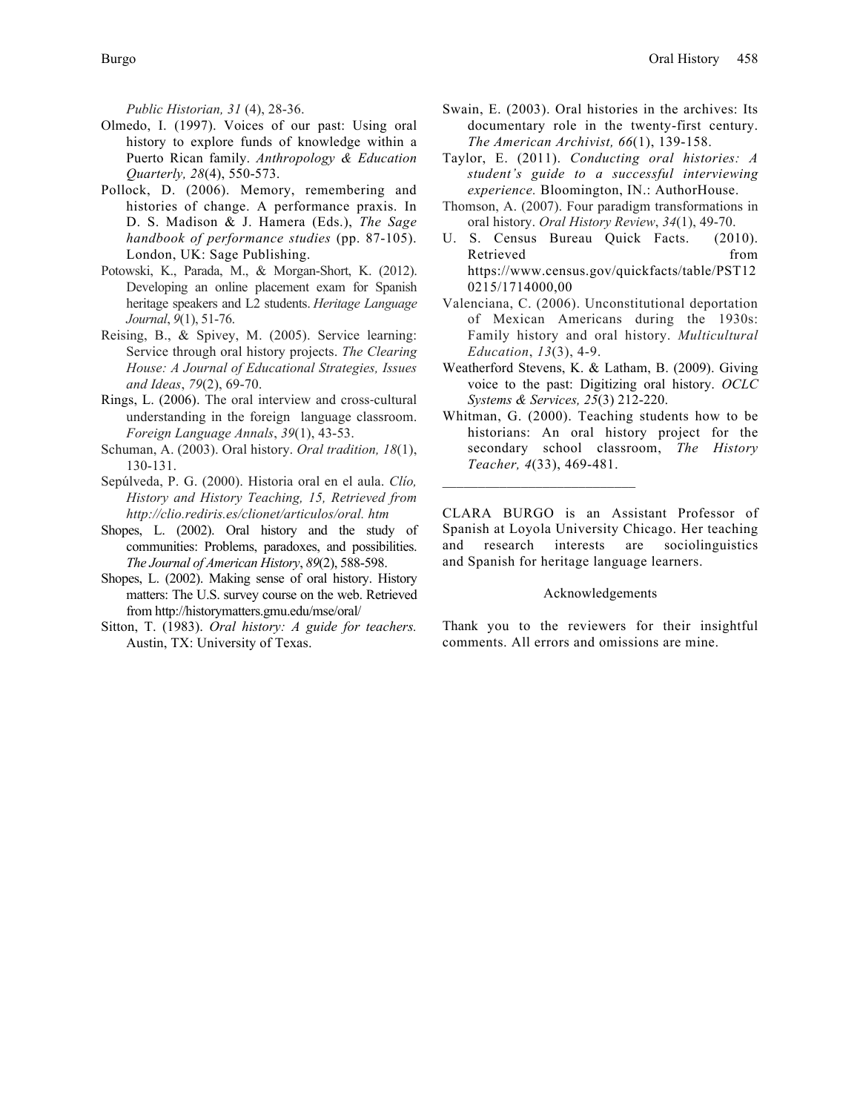*Public Historian, 31* (4), 28-36.

- Olmedo, I. (1997). Voices of our past: Using oral history to explore funds of knowledge within a Puerto Rican family. *Anthropology & Education Quarterly, 28*(4), 550-573.
- Pollock, D. (2006). Memory, remembering and histories of change. A performance praxis. In D. S. Madison & J. Hamera (Eds.), *The Sage handbook of performance studies* (pp. 87-105). London, UK: Sage Publishing.
- Potowski, K., Parada, M., & Morgan-Short, K. (2012). Developing an online placement exam for Spanish heritage speakers and L2 students. *Heritage Language Journal*, *9*(1), 51-76.
- Reising, B., & Spivey, M. (2005). Service learning: Service through oral history projects. *The Clearing House: A Journal of Educational Strategies, Issues and Ideas*, *79*(2), 69-70.
- Rings, L. (2006). The oral interview and cross-cultural understanding in the foreign language classroom. *Foreign Language Annals*, *39*(1), 43-53.
- Schuman, A. (2003). Oral history. *Oral tradition, 18*(1), 130-131.
- Sepúlveda, P. G. (2000). Historia oral en el aula. *Clío, History and History Teaching, 15, Retrieved from http://clio.rediris.es/clionet/articulos/oral. htm*
- Shopes, L. (2002). Oral history and the study of communities: Problems, paradoxes, and possibilities. *The Journal of American History*, *89*(2), 588-598.
- Shopes, L. (2002). Making sense of oral history. History matters: The U.S. survey course on the web. Retrieved from http://historymatters.gmu.edu/mse/oral/
- Sitton, T. (1983). *Oral history: A guide for teachers.*  Austin, TX: University of Texas.
- Swain, E. (2003). Oral histories in the archives: Its documentary role in the twenty-first century. *The American Archivist, 66*(1), 139-158.
- Taylor, E. (2011). *Conducting oral histories: A student's guide to a successful interviewing experience.* Bloomington, IN.: AuthorHouse.
- Thomson, A. (2007). Four paradigm transformations in oral history. *Oral History Review*, *34*(1), 49-70.
- U. S. Census Bureau Quick Facts. (2010). Retrieved from https://www.census.gov/quickfacts/table/PST12 0215/1714000,00
- Valenciana, C. (2006). Unconstitutional deportation of Mexican Americans during the 1930s: Family history and oral history. *Multicultural Education*, *13*(3), 4-9.
- Weatherford Stevens, K. & Latham, B. (2009). Giving voice to the past: Digitizing oral history. *OCLC Systems & Services, 25*(3) 212-220.
- Whitman, G. (2000). Teaching students how to be historians: An oral history project for the secondary school classroom, *The History Teacher, 4*(33), 469-481.

CLARA BURGO is an Assistant Professor of Spanish at Loyola University Chicago. Her teaching and research interests are sociolinguistics and Spanish for heritage language learners.

# Acknowledgements

Thank you to the reviewers for their insightful comments. All errors and omissions are mine.